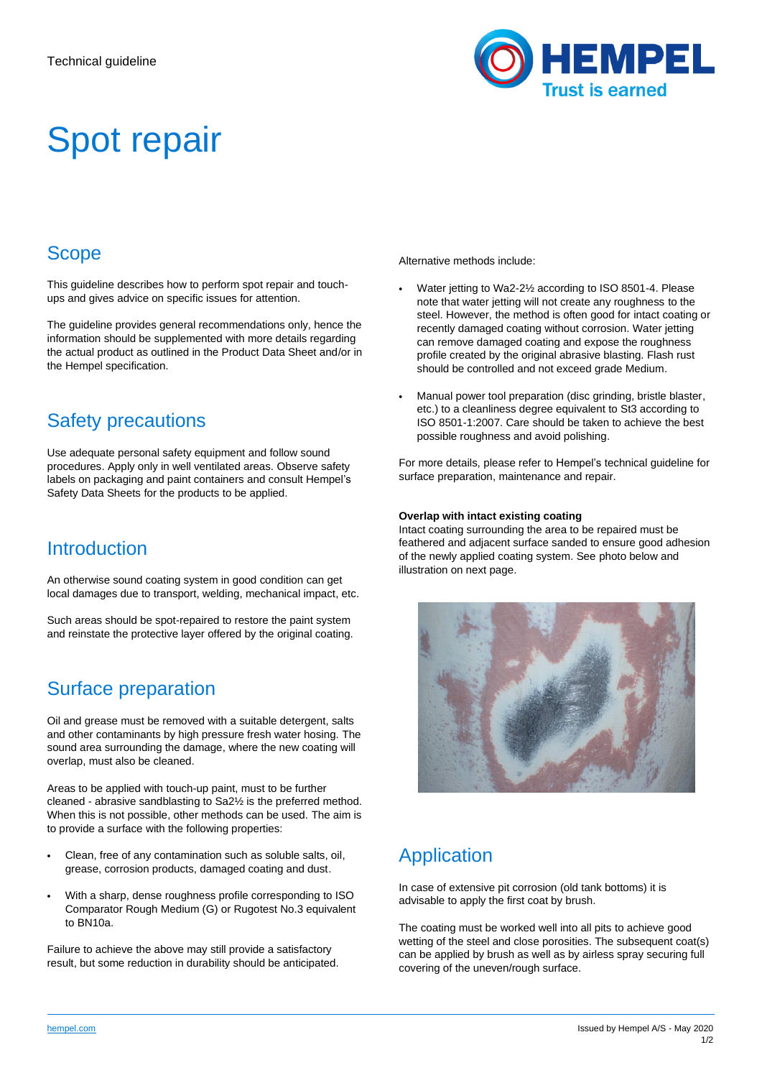

# Spot repair

## **Scope**

This guideline describes how to perform spot repair and touchups and gives advice on specific issues for attention.

The guideline provides general recommendations only, hence the information should be supplemented with more details regarding the actual product as outlined in the Product Data Sheet and/or in the Hempel specification.

## Safety precautions

Use adequate personal safety equipment and follow sound procedures. Apply only in well ventilated areas. Observe safety labels on packaging and paint containers and consult Hempel's Safety Data Sheets for the products to be applied.

#### **Introduction**

An otherwise sound coating system in good condition can get local damages due to transport, welding, mechanical impact, etc.

Such areas should be spot-repaired to restore the paint system and reinstate the protective layer offered by the original coating.

## Surface preparation

Oil and grease must be removed with a suitable detergent, salts and other contaminants by high pressure fresh water hosing. The sound area surrounding the damage, where the new coating will overlap, must also be cleaned.

Areas to be applied with touch-up paint, must to be further cleaned - abrasive sandblasting to Sa2½ is the preferred method. When this is not possible, other methods can be used. The aim is to provide a surface with the following properties:

- Clean, free of any contamination such as soluble salts, oil, grease, corrosion products, damaged coating and dust.
- With a sharp, dense roughness profile corresponding to ISO Comparator Rough Medium (G) or Rugotest No.3 equivalent to BN10a.

Failure to achieve the above may still provide a satisfactory result, but some reduction in durability should be anticipated. Alternative methods include:

- Water jetting to Wa2-2½ according to ISO 8501-4. Please note that water jetting will not create any roughness to the steel. However, the method is often good for intact coating or recently damaged coating without corrosion. Water jetting can remove damaged coating and expose the roughness profile created by the original abrasive blasting. Flash rust should be controlled and not exceed grade Medium.
- Manual power tool preparation (disc grinding, bristle blaster, etc.) to a cleanliness degree equivalent to St3 according to ISO 8501-1:2007. Care should be taken to achieve the best possible roughness and avoid polishing.

For more details, please refer to Hempel's technical guideline for surface preparation, maintenance and repair.

#### **Overlap with intact existing coating**

Intact coating surrounding the area to be repaired must be feathered and adjacent surface sanded to ensure good adhesion of the newly applied coating system. See photo below and illustration on next page.



## Application

In case of extensive pit corrosion (old tank bottoms) it is advisable to apply the first coat by brush.

The coating must be worked well into all pits to achieve good wetting of the steel and close porosities. The subsequent coat(s) can be applied by brush as well as by airless spray securing full covering of the uneven/rough surface.